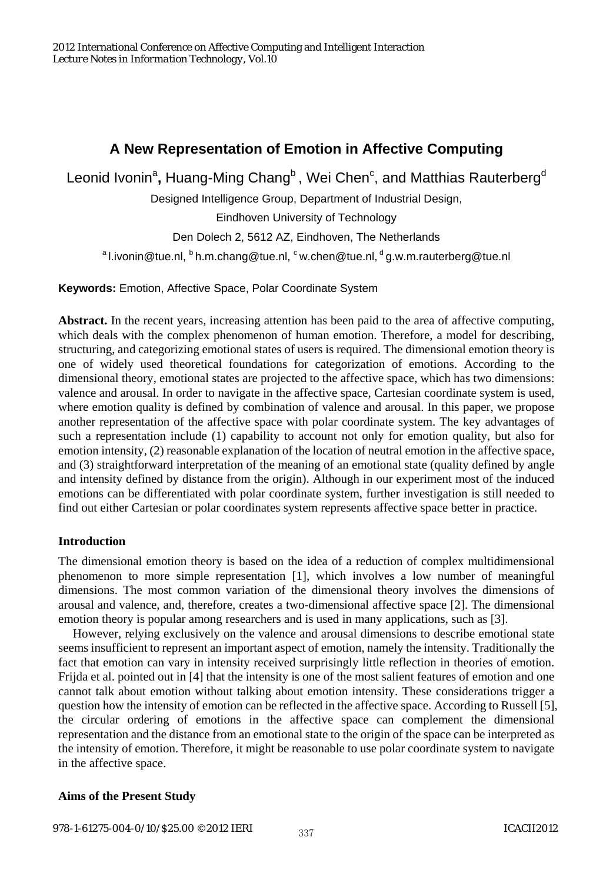# **A New Representation of Emotion in Affective Computing**

Leonid Ivonin<sup>a</sup>, Huang-Ming Chang<sup>b</sup>, Wei Chen<sup>c</sup>, and Matthias Rauterberg<sup>d</sup>

Designed Intelligence Group, Department of Industrial Design,

Eindhoven University of Technology

Den Dolech 2, 5612 AZ, Eindhoven, The Netherlands

<sup>a</sup> l.ivonin@tue.nl, <sup>b</sup> h.m.chang@tue.nl,  $\cdot$  w.chen@tue.nl,  $\cdot$  g.w.m.rauterberg@tue.nl

**Keywords:** Emotion, Affective Space, Polar Coordinate System

**Abstract.** In the recent years, increasing attention has been paid to the area of affective computing, which deals with the complex phenomenon of human emotion. Therefore, a model for describing, structuring, and categorizing emotional states of users is required. The dimensional emotion theory is one of widely used theoretical foundations for categorization of emotions. According to the dimensional theory, emotional states are projected to the affective space, which has two dimensions: valence and arousal. In order to navigate in the affective space, Cartesian coordinate system is used, where emotion quality is defined by combination of valence and arousal. In this paper, we propose another representation of the affective space with polar coordinate system. The key advantages of such a representation include (1) capability to account not only for emotion quality, but also for emotion intensity, (2) reasonable explanation of the location of neutral emotion in the affective space, and (3) straightforward interpretation of the meaning of an emotional state (quality defined by angle and intensity defined by distance from the origin). Although in our experiment most of the induced emotions can be differentiated with polar coordinate system, further investigation is still needed to find out either Cartesian or polar coordinates system represents affective space better in practice.

# **Introduction**

The dimensional emotion theory is based on the idea of a reduction of complex multidimensional phenomenon to more simple representation [1], which involves a low number of meaningful dimensions. The most common variation of the dimensional theory involves the dimensions of arousal and valence, and, therefore, creates a two-dimensional affective space [2]. The dimensional emotion theory is popular among researchers and is used in many applications, such as [3].

However, relying exclusively on the valence and arousal dimensions to describe emotional state seems insufficient to represent an important aspect of emotion, namely the intensity. Traditionally the fact that emotion can vary in intensity received surprisingly little reflection in theories of emotion. Frijda et al. pointed out in [4] that the intensity is one of the most salient features of emotion and one cannot talk about emotion without talking about emotion intensity. These considerations trigger a question how the intensity of emotion can be reflected in the affective space. According to Russell [5], the circular ordering of emotions in the affective space can complement the dimensional representation and the distance from an emotional state to the origin of the space can be interpreted as the intensity of emotion. Therefore, it might be reasonable to use polar coordinate system to navigate in the affective space.

# **Aims of the Present Study**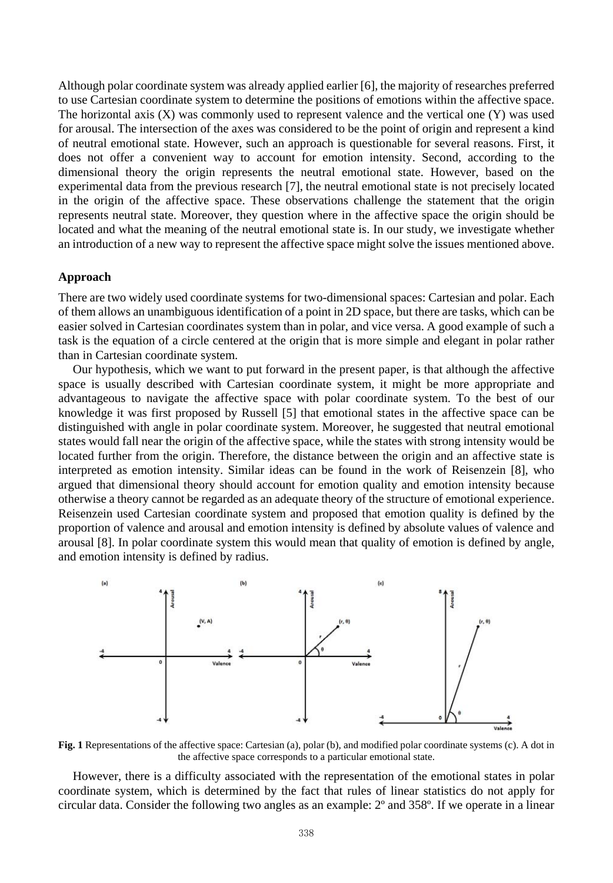Although polar coordinate system was already applied earlier [6], the majority of researches preferred to use Cartesian coordinate system to determine the positions of emotions within the affective space. The horizontal axis  $(X)$  was commonly used to represent valence and the vertical one  $(Y)$  was used for arousal. The intersection of the axes was considered to be the point of origin and represent a kind of neutral emotional state. However, such an approach is questionable for several reasons. First, it does not offer a convenient way to account for emotion intensity. Second, according to the dimensional theory the origin represents the neutral emotional state. However, based on the experimental data from the previous research [7], the neutral emotional state is not precisely located in the origin of the affective space. These observations challenge the statement that the origin represents neutral state. Moreover, they question where in the affective space the origin should be located and what the meaning of the neutral emotional state is. In our study, we investigate whether an introduction of a new way to represent the affective space might solve the issues mentioned above.

### **Approach**

There are two widely used coordinate systems for two-dimensional spaces: Cartesian and polar. Each of them allows an unambiguous identification of a point in 2D space, but there are tasks, which can be easier solved in Cartesian coordinates system than in polar, and vice versa. A good example of such a task is the equation of a circle centered at the origin that is more simple and elegant in polar rather than in Cartesian coordinate system.

Our hypothesis, which we want to put forward in the present paper, is that although the affective space is usually described with Cartesian coordinate system, it might be more appropriate and advantageous to navigate the affective space with polar coordinate system. To the best of our knowledge it was first proposed by Russell [5] that emotional states in the affective space can be distinguished with angle in polar coordinate system. Moreover, he suggested that neutral emotional states would fall near the origin of the affective space, while the states with strong intensity would be located further from the origin. Therefore, the distance between the origin and an affective state is interpreted as emotion intensity. Similar ideas can be found in the work of Reisenzein [8], who argued that dimensional theory should account for emotion quality and emotion intensity because otherwise a theory cannot be regarded as an adequate theory of the structure of emotional experience. Reisenzein used Cartesian coordinate system and proposed that emotion quality is defined by the proportion of valence and arousal and emotion intensity is defined by absolute values of valence and arousal [8]. In polar coordinate system this would mean that quality of emotion is defined by angle, and emotion intensity is defined by radius.



**Fig. 1** Representations of the affective space: Cartesian (a), polar (b), and modified polar coordinate systems (c). A dot in the affective space corresponds to a particular emotional state.

However, there is a difficulty associated with the representation of the emotional states in polar coordinate system, which is determined by the fact that rules of linear statistics do not apply for circular data. Consider the following two angles as an example: 2º and 358º. If we operate in a linear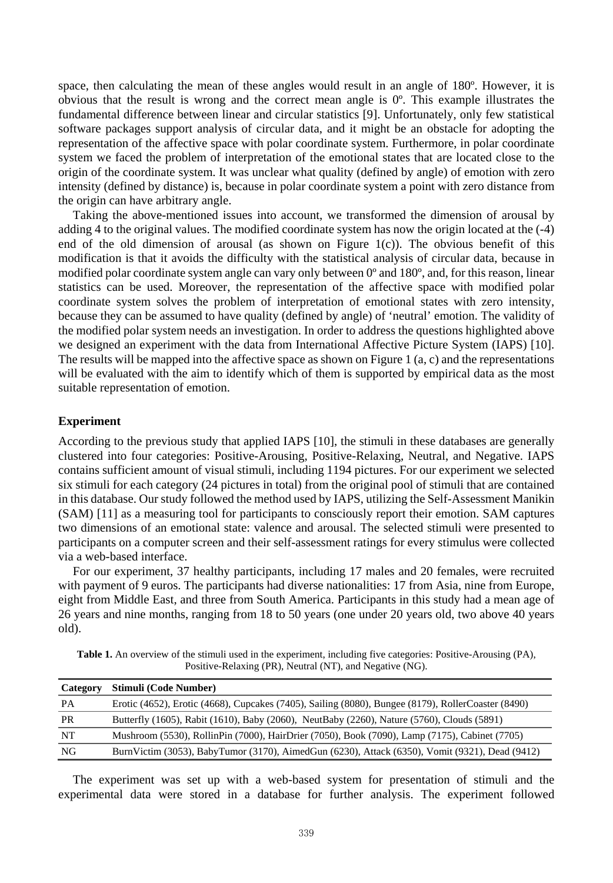space, then calculating the mean of these angles would result in an angle of 180º. However, it is obvious that the result is wrong and the correct mean angle is 0º. This example illustrates the fundamental difference between linear and circular statistics [9]. Unfortunately, only few statistical software packages support analysis of circular data, and it might be an obstacle for adopting the representation of the affective space with polar coordinate system. Furthermore, in polar coordinate system we faced the problem of interpretation of the emotional states that are located close to the origin of the coordinate system. It was unclear what quality (defined by angle) of emotion with zero intensity (defined by distance) is, because in polar coordinate system a point with zero distance from the origin can have arbitrary angle.

Taking the above-mentioned issues into account, we transformed the dimension of arousal by adding 4 to the original values. The modified coordinate system has now the origin located at the (-4) end of the old dimension of arousal (as shown on Figure 1(c)). The obvious benefit of this modification is that it avoids the difficulty with the statistical analysis of circular data, because in modified polar coordinate system angle can vary only between 0º and 180º, and, for this reason, linear statistics can be used. Moreover, the representation of the affective space with modified polar coordinate system solves the problem of interpretation of emotional states with zero intensity, because they can be assumed to have quality (defined by angle) of 'neutral' emotion. The validity of the modified polar system needs an investigation. In order to address the questions highlighted above we designed an experiment with the data from International Affective Picture System (IAPS) [10]. The results will be mapped into the affective space as shown on Figure 1 (a, c) and the representations will be evaluated with the aim to identify which of them is supported by empirical data as the most suitable representation of emotion.

## **Experiment**

According to the previous study that applied IAPS [10], the stimuli in these databases are generally clustered into four categories: Positive-Arousing, Positive-Relaxing, Neutral, and Negative. IAPS contains sufficient amount of visual stimuli, including 1194 pictures. For our experiment we selected six stimuli for each category (24 pictures in total) from the original pool of stimuli that are contained in this database. Our study followed the method used by IAPS, utilizing the Self-Assessment Manikin (SAM) [11] as a measuring tool for participants to consciously report their emotion. SAM captures two dimensions of an emotional state: valence and arousal. The selected stimuli were presented to participants on a computer screen and their self-assessment ratings for every stimulus were collected via a web-based interface.

For our experiment, 37 healthy participants, including 17 males and 20 females, were recruited with payment of 9 euros. The participants had diverse nationalities: 17 from Asia, nine from Europe, eight from Middle East, and three from South America. Participants in this study had a mean age of 26 years and nine months, ranging from 18 to 50 years (one under 20 years old, two above 40 years old).

| <b>Table 1.</b> An overview of the stimuli used in the experiment, including five categories: Positive-Arousing (PA), |
|-----------------------------------------------------------------------------------------------------------------------|
| Positive-Relaxing (PR), Neutral (NT), and Negative (NG).                                                              |

| Category  | Stimuli (Code Number)                                                                              |
|-----------|----------------------------------------------------------------------------------------------------|
| <b>PA</b> | Erotic (4652), Erotic (4668), Cupcakes (7405), Sailing (8080), Bungee (8179), RollerCoaster (8490) |
| PR        | Butterfly (1605), Rabit (1610), Baby (2060), NeutBaby (2260), Nature (5760), Clouds (5891)         |
| NT        | Mushroom (5530), RollinPin (7000), HairDrier (7050), Book (7090), Lamp (7175), Cabinet (7705)      |
| NG        | BurnVictim (3053), BabyTumor (3170), AimedGun (6230), Attack (6350), Vomit (9321), Dead (9412)     |
|           |                                                                                                    |

The experiment was set up with a web-based system for presentation of stimuli and the experimental data were stored in a database for further analysis. The experiment followed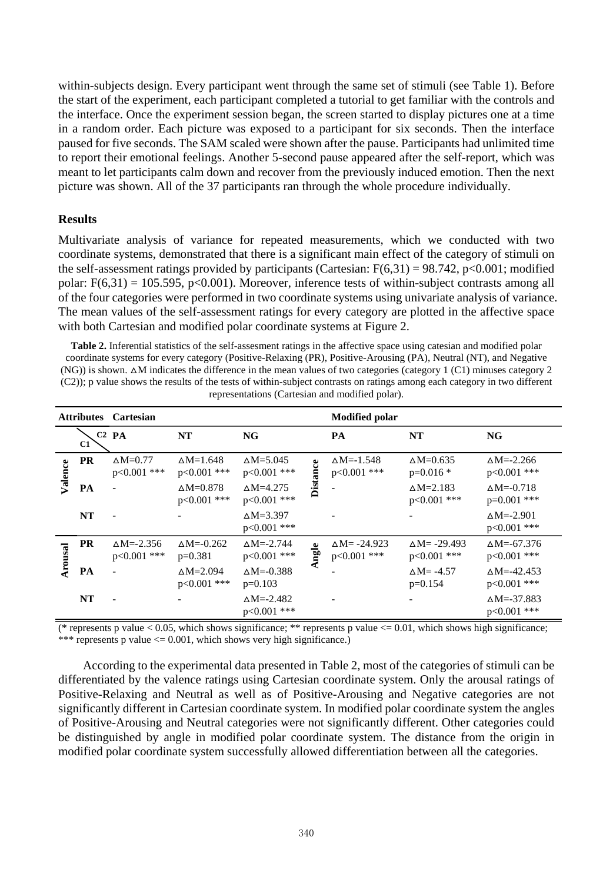within-subjects design. Every participant went through the same set of stimuli (see Table 1). Before the start of the experiment, each participant completed a tutorial to get familiar with the controls and the interface. Once the experiment session began, the screen started to display pictures one at a time in a random order. Each picture was exposed to a participant for six seconds. Then the interface paused for five seconds. The SAM scaled were shown after the pause. Participants had unlimited time to report their emotional feelings. Another 5-second pause appeared after the self-report, which was meant to let participants calm down and recover from the previously induced emotion. Then the next picture was shown. All of the 37 participants ran through the whole procedure individually.

# **Results**

Multivariate analysis of variance for repeated measurements, which we conducted with two coordinate systems, demonstrated that there is a significant main effect of the category of stimuli on the self-assessment ratings provided by participants (Cartesian:  $F(6,31) = 98.742$ , p<0.001; modified polar:  $F(6,31) = 105.595$ , p<0.001). Moreover, inference tests of within-subject contrasts among all of the four categories were performed in two coordinate systems using univariate analysis of variance. The mean values of the self-assessment ratings for every category are plotted in the affective space with both Cartesian and modified polar coordinate systems at Figure 2.

**Table 2.** Inferential statistics of the self-assesment ratings in the affective space using catesian and modified polar coordinate systems for every category (Positive-Relaxing (PR), Positive-Arousing (PA), Neutral (NT), and Negative  $(NG)$ ) is shown.  $\Delta M$  indicates the difference in the mean values of two categories (category 1 (C1) minuses category 2 (C2)); p value shows the results of the tests of within-subject contrasts on ratings among each category in two different representations (Cartesian and modified polar).

| <b>Attributes Cartesian</b> |           |                                      |                                        |                                         |                 | <b>Modified polar</b>                 |                                       |                                       |
|-----------------------------|-----------|--------------------------------------|----------------------------------------|-----------------------------------------|-----------------|---------------------------------------|---------------------------------------|---------------------------------------|
|                             | C1        | $C2$ PA                              | NT                                     | NG                                      |                 | PA                                    | <b>NT</b>                             | NG                                    |
| Valence                     | <b>PR</b> | $\Delta M = 0.77$<br>$p<0.001$ ***   | $\triangle M=1.648$<br>$p<0.001$ ***   | $\triangle M = 5.045$<br>$p<0.001$ ***  | <b>Distance</b> | $\Delta M = -1.548$<br>p<0.001 ***    | $\triangle M=0.635$<br>$p=0.016*$     | $\Delta M = -2.266$<br>$p<0.001$ ***  |
|                             | PA        |                                      | $\triangle M=0.878$<br>$p<0.001$ ***   | $\Delta M = 4.275$<br>p<0.001 ***       |                 |                                       | $\triangle M=2.183$<br>$p<0.001$ ***  | $\Delta M = -0.718$<br>$p=0.001$ ***  |
|                             | <b>NT</b> |                                      |                                        | $\Delta M = 3.397$<br>p<0.001 ***       |                 |                                       |                                       | $\Delta M = -2.901$<br>$p<0.001$ ***  |
| Arousal                     | <b>PR</b> | $\Delta M = -2.356$<br>$p<0.001$ *** | $\triangle M = 0.262$<br>$p=0.381$     | $\triangle M = -2.744$<br>$p<0.001$ *** | Ingle           | $\Delta M = -24.923$<br>$p<0.001$ *** | $\Delta M = -29.493$<br>$p<0.001$ *** | $\Delta M = -67.376$<br>$p<0.001$ *** |
|                             | PA        |                                      | $\triangle M = 2.094$<br>$p<0.001$ *** | $\Delta M = -0.388$<br>$p=0.103$        |                 |                                       | $\Delta M = -4.57$<br>$p=0.154$       | $\Delta M = -42.453$<br>p<0.001 ***   |
|                             | NT        |                                      |                                        | $\Delta M = -2.482$<br>$p<0.001$ ***    |                 |                                       |                                       | $\Delta M = -37.883$<br>p<0.001 ***   |

(\* represents p value  $< 0.05$ , which shows significance; \*\* represents p value  $<= 0.01$ , which shows high significance; \*\*\* represents p value  $\leq 0.001$ , which shows very high significance.)

According to the experimental data presented in Table 2, most of the categories of stimuli can be differentiated by the valence ratings using Cartesian coordinate system. Only the arousal ratings of Positive-Relaxing and Neutral as well as of Positive-Arousing and Negative categories are not significantly different in Cartesian coordinate system. In modified polar coordinate system the angles of Positive-Arousing and Neutral categories were not significantly different. Other categories could be distinguished by angle in modified polar coordinate system. The distance from the origin in modified polar coordinate system successfully allowed differentiation between all the categories.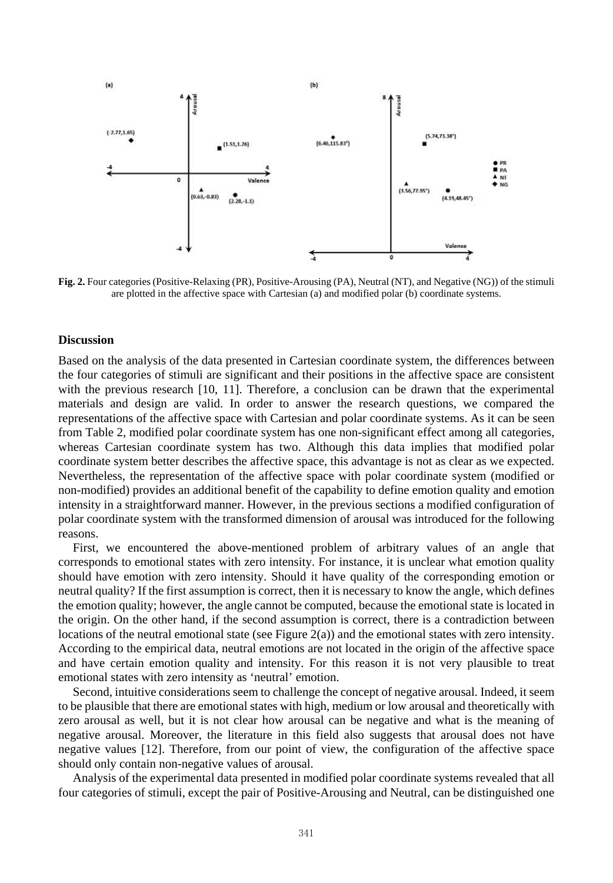

**Fig. 2.** Four categories (Positive-Relaxing (PR), Positive-Arousing (PA), Neutral (NT), and Negative (NG)) of the stimuli are plotted in the affective space with Cartesian (a) and modified polar (b) coordinate systems.

### **Discussion**

Based on the analysis of the data presented in Cartesian coordinate system, the differences between the four categories of stimuli are significant and their positions in the affective space are consistent with the previous research [10, 11]. Therefore, a conclusion can be drawn that the experimental materials and design are valid. In order to answer the research questions, we compared the representations of the affective space with Cartesian and polar coordinate systems. As it can be seen from Table 2, modified polar coordinate system has one non-significant effect among all categories, whereas Cartesian coordinate system has two. Although this data implies that modified polar coordinate system better describes the affective space, this advantage is not as clear as we expected. Nevertheless, the representation of the affective space with polar coordinate system (modified or non-modified) provides an additional benefit of the capability to define emotion quality and emotion intensity in a straightforward manner. However, in the previous sections a modified configuration of polar coordinate system with the transformed dimension of arousal was introduced for the following reasons.

First, we encountered the above-mentioned problem of arbitrary values of an angle that corresponds to emotional states with zero intensity. For instance, it is unclear what emotion quality should have emotion with zero intensity. Should it have quality of the corresponding emotion or neutral quality? If the first assumption is correct, then it is necessary to know the angle, which defines the emotion quality; however, the angle cannot be computed, because the emotional state is located in the origin. On the other hand, if the second assumption is correct, there is a contradiction between locations of the neutral emotional state (see Figure 2(a)) and the emotional states with zero intensity. According to the empirical data, neutral emotions are not located in the origin of the affective space and have certain emotion quality and intensity. For this reason it is not very plausible to treat emotional states with zero intensity as 'neutral' emotion.

Second, intuitive considerations seem to challenge the concept of negative arousal. Indeed, it seem to be plausible that there are emotional states with high, medium or low arousal and theoretically with zero arousal as well, but it is not clear how arousal can be negative and what is the meaning of negative arousal. Moreover, the literature in this field also suggests that arousal does not have negative values [12]. Therefore, from our point of view, the configuration of the affective space should only contain non-negative values of arousal.

Analysis of the experimental data presented in modified polar coordinate systems revealed that all four categories of stimuli, except the pair of Positive-Arousing and Neutral, can be distinguished one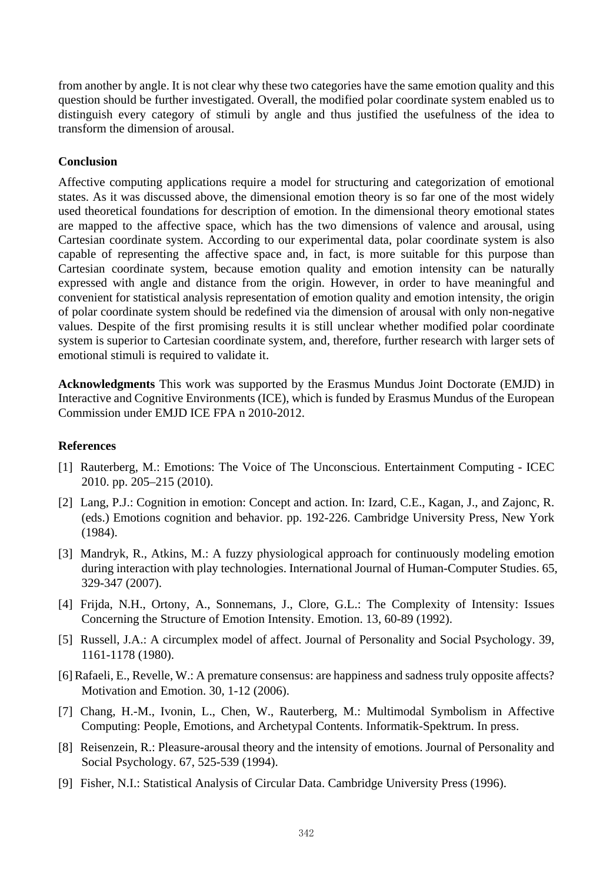from another by angle. It is not clear why these two categories have the same emotion quality and this question should be further investigated. Overall, the modified polar coordinate system enabled us to distinguish every category of stimuli by angle and thus justified the usefulness of the idea to transform the dimension of arousal.

# **Conclusion**

Affective computing applications require a model for structuring and categorization of emotional states. As it was discussed above, the dimensional emotion theory is so far one of the most widely used theoretical foundations for description of emotion. In the dimensional theory emotional states are mapped to the affective space, which has the two dimensions of valence and arousal, using Cartesian coordinate system. According to our experimental data, polar coordinate system is also capable of representing the affective space and, in fact, is more suitable for this purpose than Cartesian coordinate system, because emotion quality and emotion intensity can be naturally expressed with angle and distance from the origin. However, in order to have meaningful and convenient for statistical analysis representation of emotion quality and emotion intensity, the origin of polar coordinate system should be redefined via the dimension of arousal with only non-negative values. Despite of the first promising results it is still unclear whether modified polar coordinate system is superior to Cartesian coordinate system, and, therefore, further research with larger sets of emotional stimuli is required to validate it.

**Acknowledgments** This work was supported by the Erasmus Mundus Joint Doctorate (EMJD) in Interactive and Cognitive Environments (ICE), which is funded by Erasmus Mundus of the European Commission under EMJD ICE FPA n 2010-2012.

# **References**

- [1] Rauterberg, M.: Emotions: The Voice of The Unconscious. Entertainment Computing ICEC 2010. pp. 205–215 (2010).
- [2] Lang, P.J.: Cognition in emotion: Concept and action. In: Izard, C.E., Kagan, J., and Zajonc, R. (eds.) Emotions cognition and behavior. pp. 192-226. Cambridge University Press, New York (1984).
- [3] Mandryk, R., Atkins, M.: A fuzzy physiological approach for continuously modeling emotion during interaction with play technologies. International Journal of Human-Computer Studies. 65, 329-347 (2007).
- [4] Frijda, N.H., Ortony, A., Sonnemans, J., Clore, G.L.: The Complexity of Intensity: Issues Concerning the Structure of Emotion Intensity. Emotion. 13, 60-89 (1992).
- [5] Russell, J.A.: A circumplex model of affect. Journal of Personality and Social Psychology. 39, 1161-1178 (1980).
- [6] Rafaeli, E., Revelle, W.: A premature consensus: are happiness and sadness truly opposite affects? Motivation and Emotion. 30, 1-12 (2006).
- [7] Chang, H.-M., Ivonin, L., Chen, W., Rauterberg, M.: Multimodal Symbolism in Affective Computing: People, Emotions, and Archetypal Contents. Informatik-Spektrum. In press.
- [8] Reisenzein, R.: Pleasure-arousal theory and the intensity of emotions. Journal of Personality and Social Psychology. 67, 525-539 (1994).
- [9] Fisher, N.I.: Statistical Analysis of Circular Data. Cambridge University Press (1996).